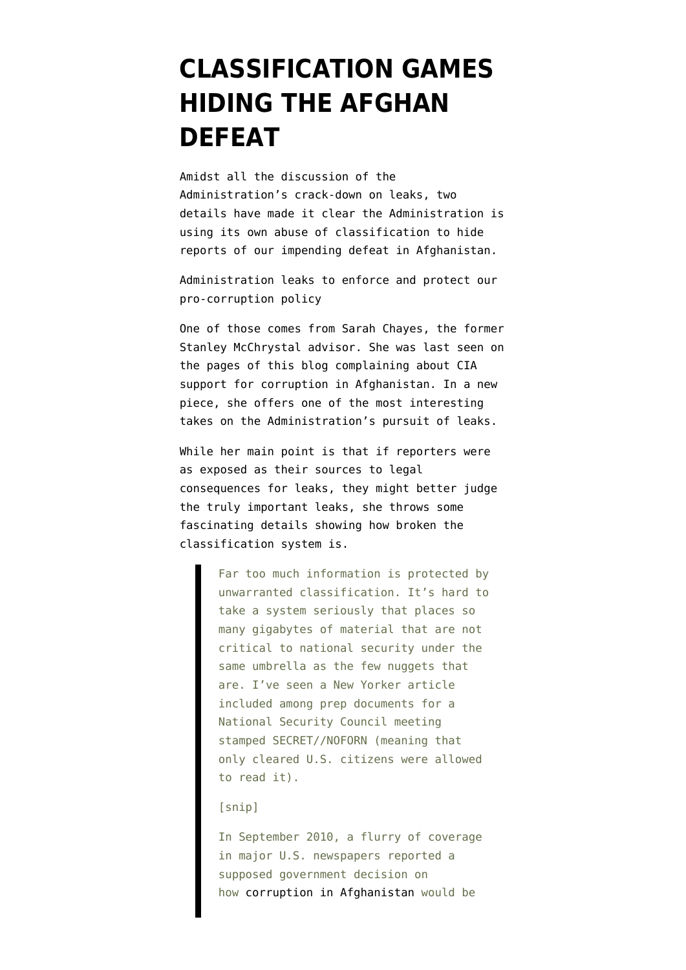## **[CLASSIFICATION GAMES](https://www.emptywheel.net/2013/06/01/classification-games-hiding-the-afghan-defeat/) [HIDING THE AFGHAN](https://www.emptywheel.net/2013/06/01/classification-games-hiding-the-afghan-defeat/) [DEFEAT](https://www.emptywheel.net/2013/06/01/classification-games-hiding-the-afghan-defeat/)**

Amidst all the discussion of the Administration's crack-down on leaks, two details have made it clear the Administration is using its own abuse of classification to hide reports of our impending defeat in Afghanistan.

Administration leaks to enforce and protect our pro-corruption policy

One of those comes from Sarah Chayes, the former Stanley McChrystal advisor. She was last seen on the pages of this blog [complaining](http://www.emptywheel.net/2013/05/05/the-blame-game-begins-who-will-be-held-responsible-for-creating-the-afghan-vertically-integrated-criminal-government/) about CIA support for corruption in Afghanistan. In a new piece, she offers one of the most [interesting](http://www.washingtonpost.com/opinions/journalists-trawling-for-leaks-should-be-willing-to-share-the-risks/2013/05/31/af8fb48a-c965-11e2-8da7-d274bc611a47_print.html) [takes](http://www.washingtonpost.com/opinions/journalists-trawling-for-leaks-should-be-willing-to-share-the-risks/2013/05/31/af8fb48a-c965-11e2-8da7-d274bc611a47_print.html) on the Administration's pursuit of leaks.

While her main point is that if reporters were as exposed as their sources to legal consequences for leaks, they might better judge the truly important leaks, she throws some fascinating details showing how broken the classification system is.

> Far too much information is protected by unwarranted classification. It's hard to take a system seriously that places so many gigabytes of material that are not critical to national security under the same umbrella as the few nuggets that are. I've seen a New Yorker article included among prep documents for a National Security Council meeting stamped SECRET//NOFORN (meaning that only cleared U.S. citizens were allowed to read it).

[snip]

In September 2010, a flurry of coverage in major U.S. newspapers reported a supposed government decision on how [corruption in Afghanistan](http://www.washingtonpost.com/wp-dyn/content/article/2010/09/03/AR2010090305545.html) would be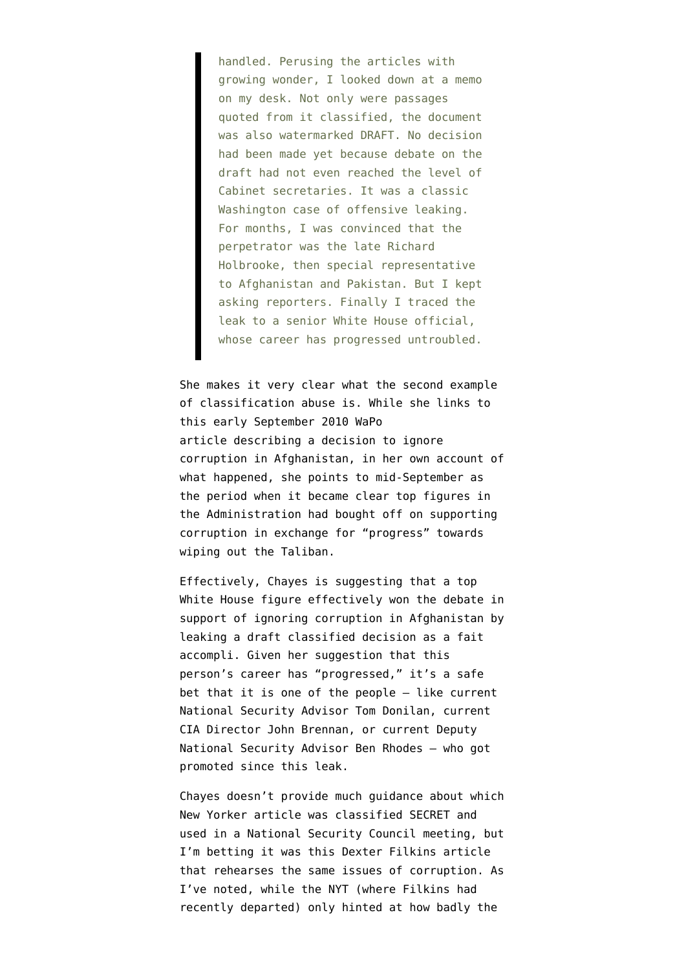handled. Perusing the articles with growing wonder, I looked down at a memo on my desk. Not only were passages quoted from it classified, the document was also watermarked DRAFT. No decision had been made yet because debate on the draft had not even reached the level of Cabinet secretaries. It was a classic Washington case of offensive leaking. For months, I was convinced that the perpetrator was the late Richard Holbrooke, then special representative to Afghanistan and Pakistan. But I kept asking reporters. Finally I traced the leak to a senior White House official, whose career has progressed untroubled.

She makes it very clear what the second example of classification abuse is. While she links to this [early September 2010 WaPo](http://www.washingtonpost.com/wp-dyn/content/article/2010/09/03/AR2010090305545_pf.html) [article](http://www.washingtonpost.com/wp-dyn/content/article/2010/09/03/AR2010090305545_pf.html) describing a decision to ignore corruption in Afghanistan, in her [own account](http://www.foreignpolicy.com/articles/2013/05/03/the_afghan_bag_man?page=full) of what happened, she points to mid-September as the period when it became clear top figures in the Administration had bought off on supporting corruption in exchange for "progress" towards wiping out the Taliban.

Effectively, Chayes is suggesting that a top White House figure effectively won the debate in support of ignoring corruption in Afghanistan by leaking a draft classified decision as a fait accompli. Given her suggestion that this person's career has "progressed," it's a safe bet that it is one of the people — like current National Security Advisor Tom Donilan, current CIA Director John Brennan, or current Deputy National Security Advisor Ben Rhodes — who got promoted since this leak.

Chayes doesn't provide much guidance about which New Yorker article was classified SECRET and used in a National Security Council meeting, but I'm betting it was [this Dexter Filkins article](http://www.newyorker.com/reporting/2011/02/14/110214fa_fact_filkins?currentPage=all) that rehearses the same issues of corruption. As I've [noted,](http://www.emptywheel.net/2013/05/05/the-blame-game-begins-who-will-be-held-responsible-for-creating-the-afghan-vertically-integrated-criminal-government/) while the NYT (where Filkins had recently departed) only [hinted](http://www.emptywheel.net/2011/01/31/the-900-million-headline-versus-our-afghan-policy-backing-a-vertically-integrated-criminal-enterprise/) at how badly the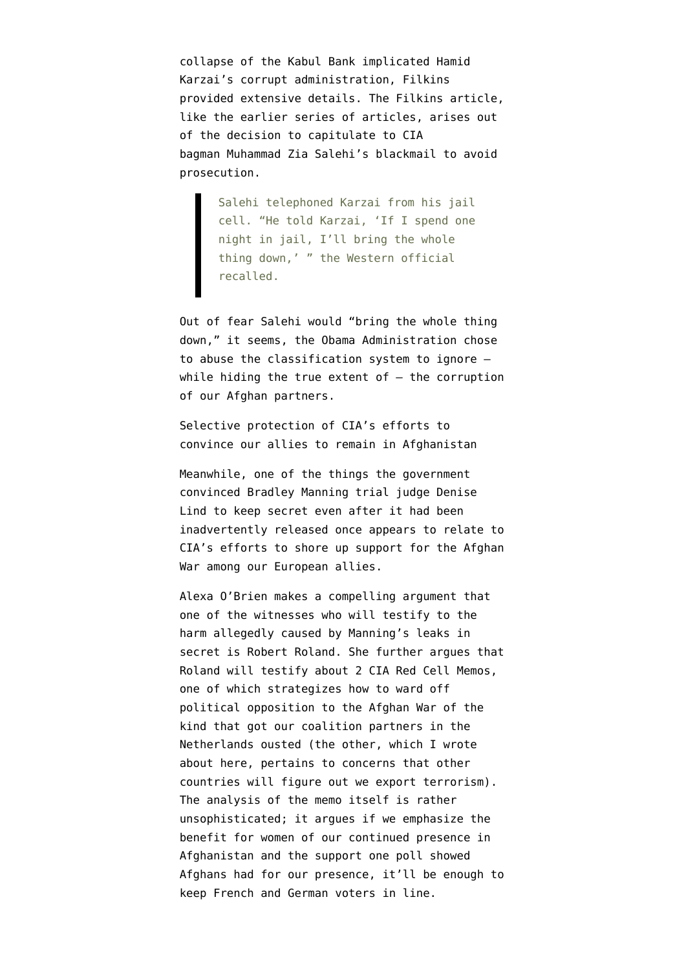collapse of the Kabul Bank implicated Hamid Karzai's corrupt administration, Filkins provided extensive details. The Filkins article, like the earlier series of articles, arises out of the decision to capitulate to CIA bagman Muhammad Zia Salehi's blackmail to avoid prosecution.

> Salehi telephoned Karzai from his jail cell. "He told Karzai, 'If I spend one night in jail, I'll bring the whole thing down,' " the Western official recalled.

Out of fear Salehi would "bring the whole thing down," it seems, the Obama Administration chose to abuse the classification system to ignore while hiding the true extent of  $-$  the corruption of our Afghan partners.

Selective protection of CIA's efforts to convince our allies to remain in Afghanistan

Meanwhile, one of the things the government convinced Bradley Manning trial judge Denise Lind to keep secret even after it had been inadvertently released once appears to relate to CIA's efforts to shore up support for the Afghan War among our European allies.

Alexa O'Brien makes a [compelling argument](http://www.alexaobrien.com/secondsight/wikileaks/bradley_manning/witness_profiles_us_v_pfc_bradley_manning/official_classi/us_v_pfc_manning_original_classification_authorities_cia_red_cell_memo_robert_roland.html) that one of the witnesses who will testify to the harm allegedly caused by Manning's leaks in secret is Robert Roland. She further argues that Roland will testify about 2 CIA Red Cell Memos, one of which [strategizes](http://wlstorage.net/file/cia-afghanistan.pdf) how to ward off political opposition to the Afghan War of the kind that got our coalition partners in the Netherlands ousted (the other, which I [wrote](http://www.emptywheel.net/2010/08/25/new-wikileak-cia-admits-us-exports-terror/) [about here,](http://www.emptywheel.net/2010/08/25/new-wikileak-cia-admits-us-exports-terror/) [pertains](http://wlstorage.net/file/us-cia-redcell-exporter-of-terrorism-2010.pdf) to concerns that other countries will figure out we export terrorism). The analysis of the memo itself is rather unsophisticated; it argues if we emphasize the benefit for women of our continued presence in Afghanistan and the support one poll showed Afghans had for our presence, it'll be enough to keep French and German voters in line.